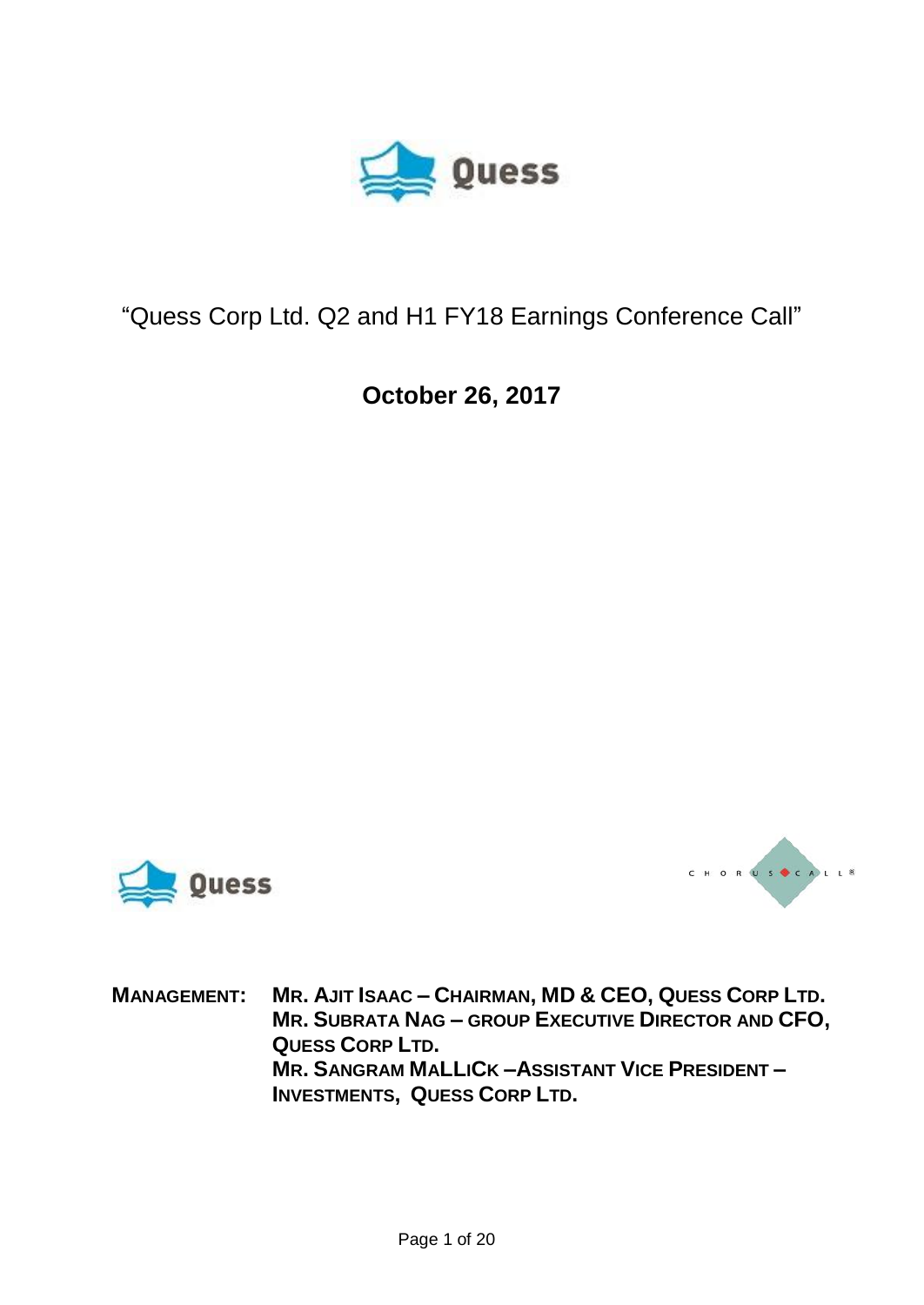

## "Quess Corp Ltd. Q2 and H1 FY18 Earnings Conference Call"

**October 26, 2017**





MANAGEMENT: MR. AJIT ISAAC - CHAIRMAN, MD & CEO, QUESS CORP LTD. **MR. SUBRATA NAG – GROUP EXECUTIVE DIRECTOR AND CFO, QUESS CORP LTD. MR. SANGRAM MALLICK –ASSISTANT VICE PRESIDENT – INVESTMENTS, QUESS CORP LTD.**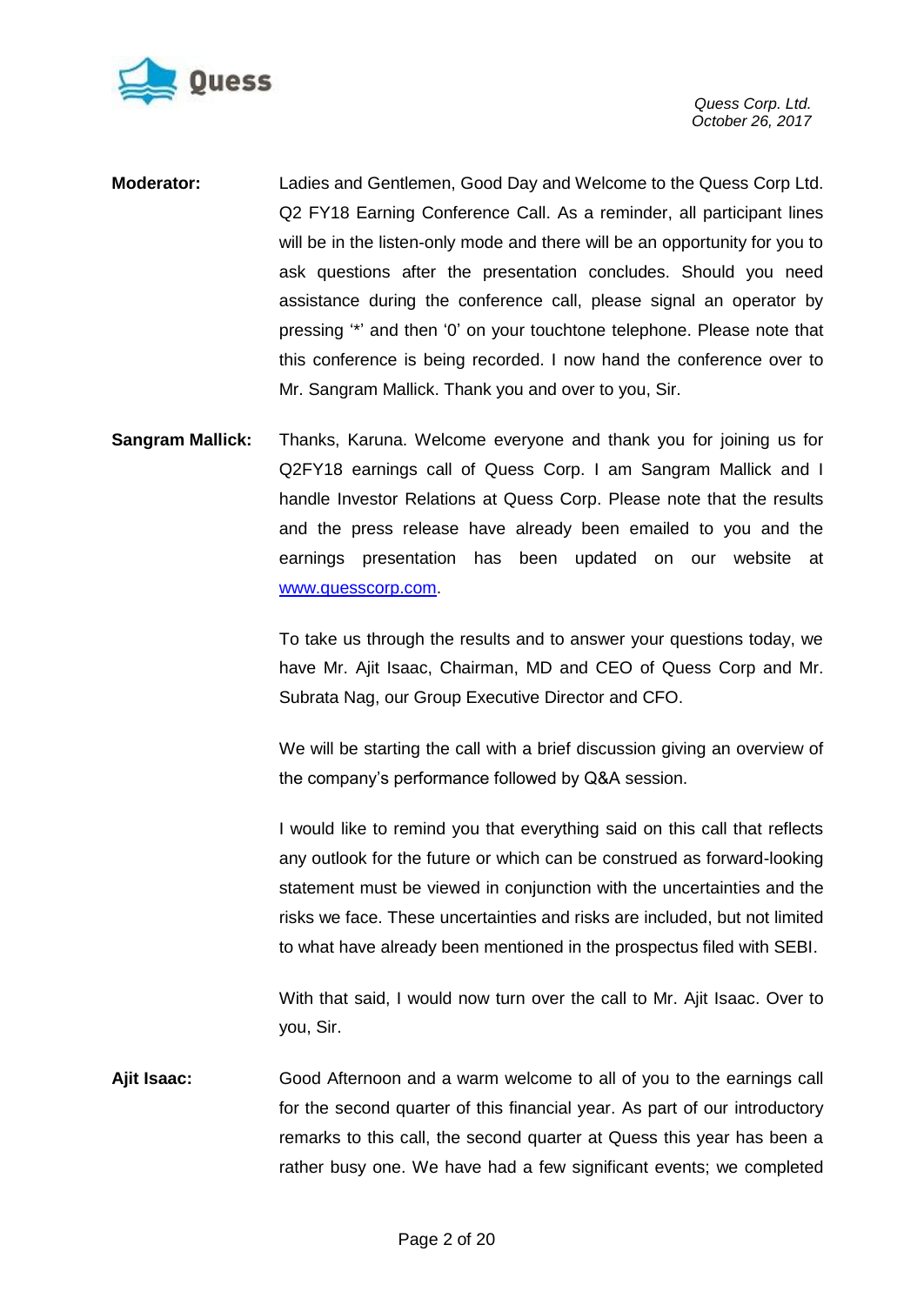

- **Moderator:** Ladies and Gentlemen, Good Day and Welcome to the Quess Corp Ltd. Q2 FY18 Earning Conference Call. As a reminder, all participant lines will be in the listen-only mode and there will be an opportunity for you to ask questions after the presentation concludes. Should you need assistance during the conference call, please signal an operator by pressing "\*" and then "0" on your touchtone telephone. Please note that this conference is being recorded. I now hand the conference over to Mr. Sangram Mallick. Thank you and over to you, Sir.
- **Sangram Mallick:** Thanks, Karuna. Welcome everyone and thank you for joining us for Q2FY18 earnings call of Quess Corp. I am Sangram Mallick and I handle Investor Relations at Quess Corp. Please note that the results and the press release have already been emailed to you and the earnings presentation has been updated on our website at [www.quesscorp.com.](http://www.quesscorp.com/)

To take us through the results and to answer your questions today, we have Mr. Ajit Isaac, Chairman, MD and CEO of Quess Corp and Mr. Subrata Nag, our Group Executive Director and CFO.

We will be starting the call with a brief discussion giving an overview of the company"s performance followed by Q&A session.

I would like to remind you that everything said on this call that reflects any outlook for the future or which can be construed as forward-looking statement must be viewed in conjunction with the uncertainties and the risks we face. These uncertainties and risks are included, but not limited to what have already been mentioned in the prospectus filed with SEBI.

With that said, I would now turn over the call to Mr. Ajit Isaac. Over to you, Sir.

**Ajit Isaac:** Good Afternoon and a warm welcome to all of you to the earnings call for the second quarter of this financial year. As part of our introductory remarks to this call, the second quarter at Quess this year has been a rather busy one. We have had a few significant events; we completed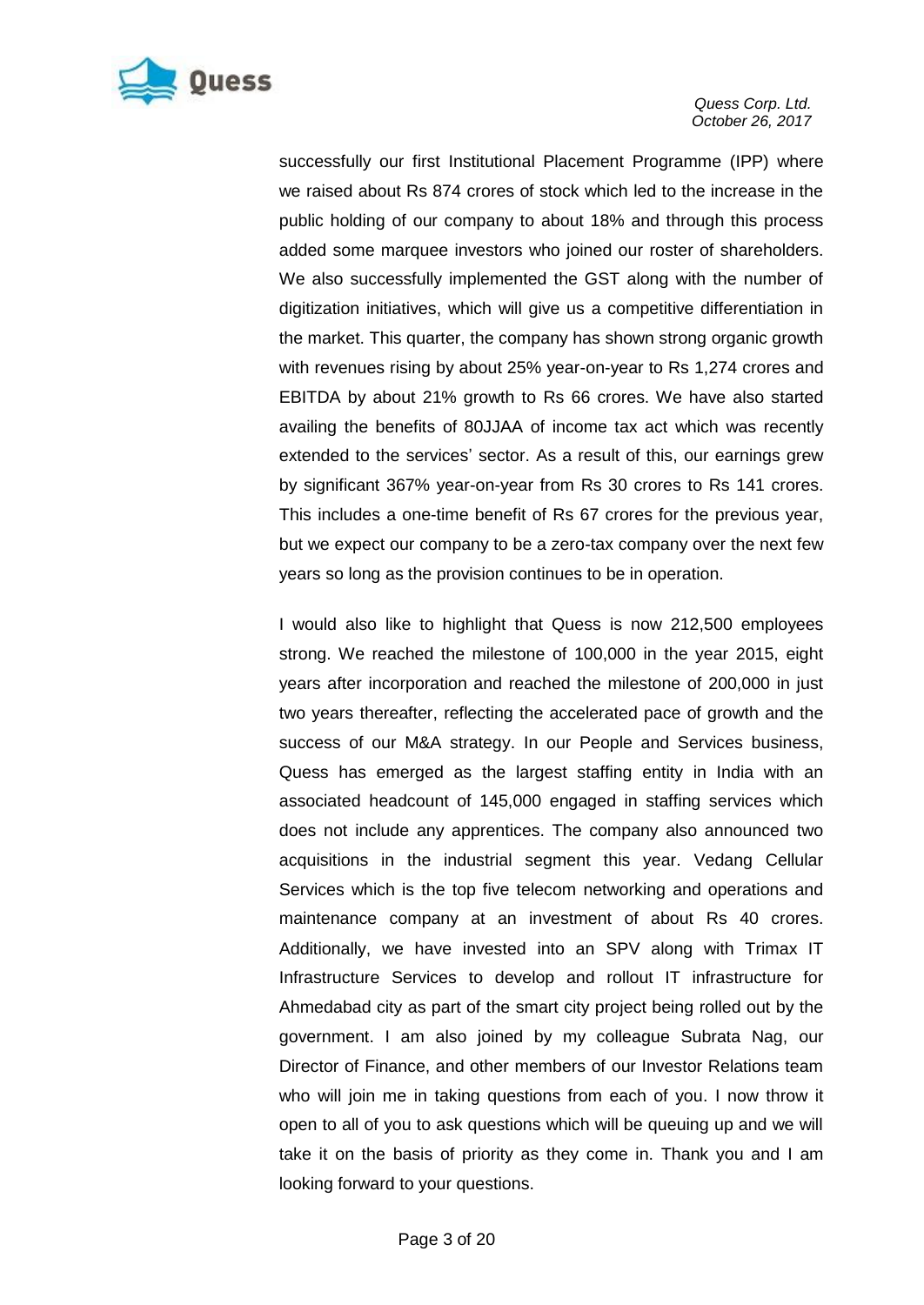

successfully our first Institutional Placement Programme (IPP) where we raised about Rs 874 crores of stock which led to the increase in the public holding of our company to about 18% and through this process added some marquee investors who joined our roster of shareholders. We also successfully implemented the GST along with the number of digitization initiatives, which will give us a competitive differentiation in the market. This quarter, the company has shown strong organic growth with revenues rising by about 25% year-on-year to Rs 1,274 crores and EBITDA by about 21% growth to Rs 66 crores. We have also started availing the benefits of 80JJAA of income tax act which was recently extended to the services' sector. As a result of this, our earnings grew by significant 367% year-on-year from Rs 30 crores to Rs 141 crores. This includes a one-time benefit of Rs 67 crores for the previous year, but we expect our company to be a zero-tax company over the next few years so long as the provision continues to be in operation.

I would also like to highlight that Quess is now 212,500 employees strong. We reached the milestone of 100,000 in the year 2015, eight years after incorporation and reached the milestone of 200,000 in just two years thereafter, reflecting the accelerated pace of growth and the success of our M&A strategy. In our People and Services business, Quess has emerged as the largest staffing entity in India with an associated headcount of 145,000 engaged in staffing services which does not include any apprentices. The company also announced two acquisitions in the industrial segment this year. Vedang Cellular Services which is the top five telecom networking and operations and maintenance company at an investment of about Rs 40 crores. Additionally, we have invested into an SPV along with Trimax IT Infrastructure Services to develop and rollout IT infrastructure for Ahmedabad city as part of the smart city project being rolled out by the government. I am also joined by my colleague Subrata Nag, our Director of Finance, and other members of our Investor Relations team who will join me in taking questions from each of you. I now throw it open to all of you to ask questions which will be queuing up and we will take it on the basis of priority as they come in. Thank you and I am looking forward to your questions.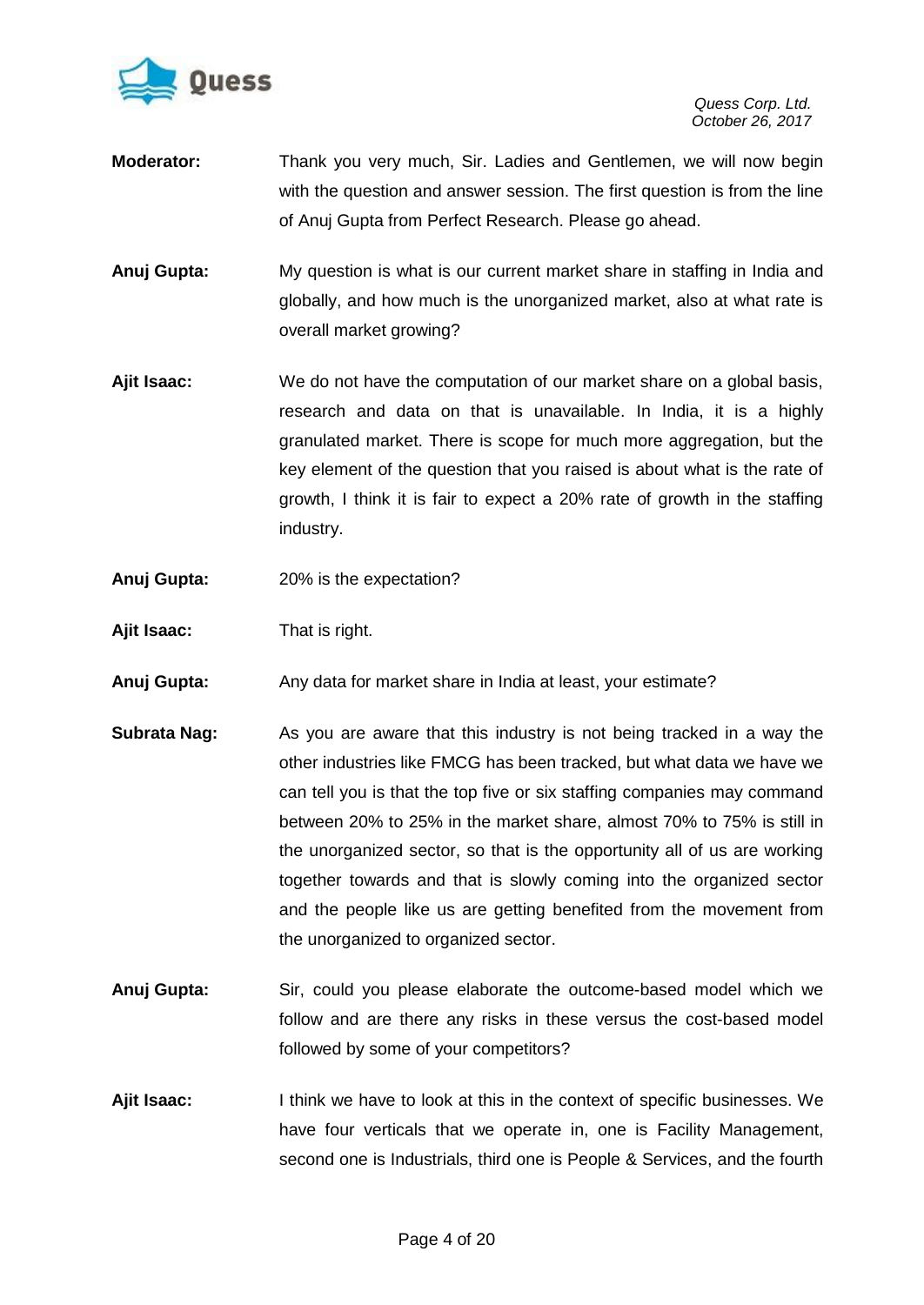

- **Moderator:** Thank you very much, Sir. Ladies and Gentlemen, we will now begin with the question and answer session. The first question is from the line of Anuj Gupta from Perfect Research. Please go ahead.
- **Anuj Gupta:** My question is what is our current market share in staffing in India and globally, and how much is the unorganized market, also at what rate is overall market growing?
- **Ajit Isaac:** We do not have the computation of our market share on a global basis, research and data on that is unavailable. In India, it is a highly granulated market. There is scope for much more aggregation, but the key element of the question that you raised is about what is the rate of growth, I think it is fair to expect a 20% rate of growth in the staffing industry.
- **Anuj Gupta:** 20% is the expectation?
- **Ajit Isaac:** That is right.
- **Anuj Gupta:** Any data for market share in India at least, your estimate?
- **Subrata Nag:** As you are aware that this industry is not being tracked in a way the other industries like FMCG has been tracked, but what data we have we can tell you is that the top five or six staffing companies may command between 20% to 25% in the market share, almost 70% to 75% is still in the unorganized sector, so that is the opportunity all of us are working together towards and that is slowly coming into the organized sector and the people like us are getting benefited from the movement from the unorganized to organized sector.
- **Anuj Gupta:** Sir, could you please elaborate the outcome-based model which we follow and are there any risks in these versus the cost-based model followed by some of your competitors?
- **Ajit Isaac:** I think we have to look at this in the context of specific businesses. We have four verticals that we operate in, one is Facility Management, second one is Industrials, third one is People & Services, and the fourth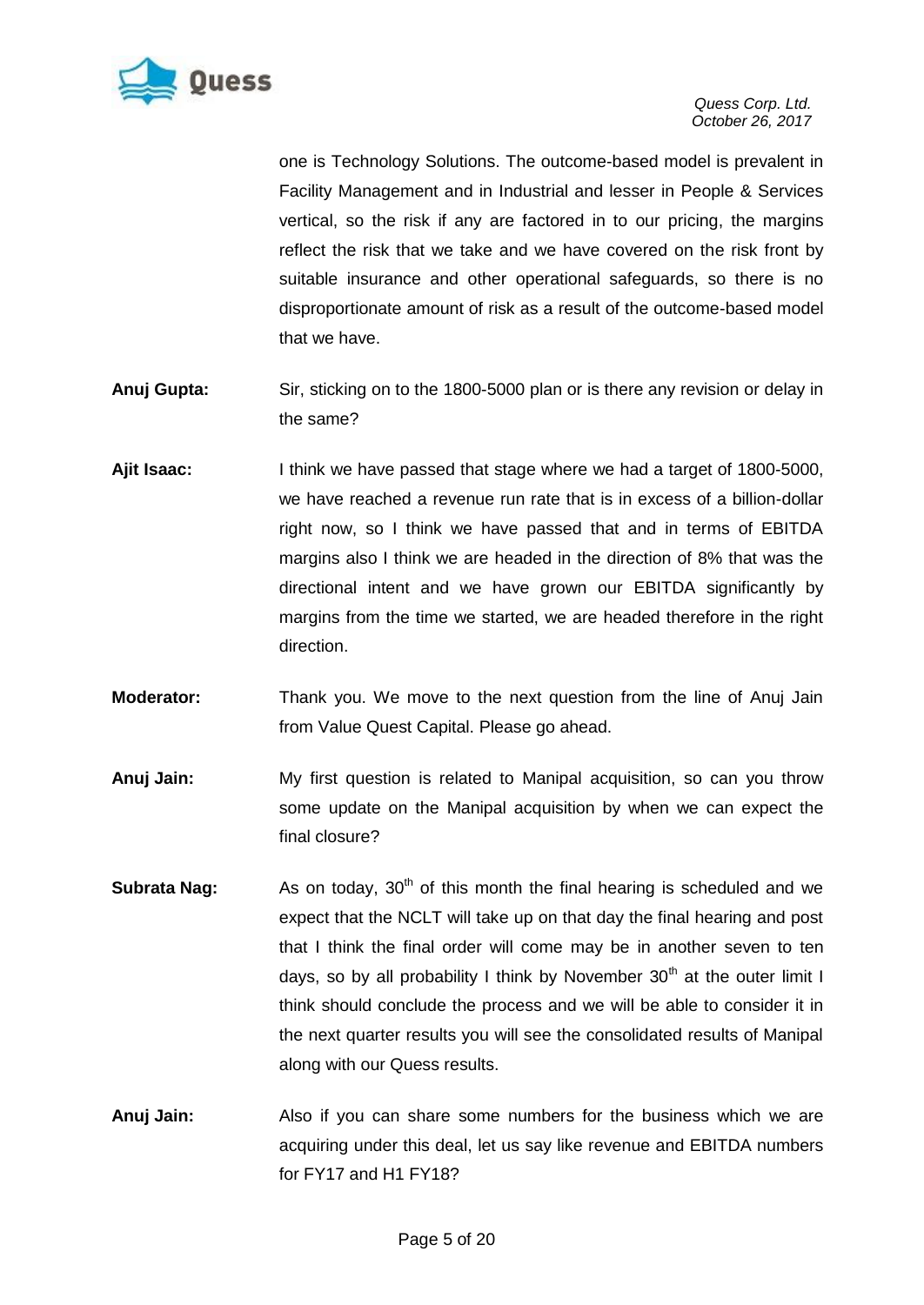

one is Technology Solutions. The outcome-based model is prevalent in Facility Management and in Industrial and lesser in People & Services vertical, so the risk if any are factored in to our pricing, the margins reflect the risk that we take and we have covered on the risk front by suitable insurance and other operational safeguards, so there is no disproportionate amount of risk as a result of the outcome-based model that we have.

- **Anuj Gupta:** Sir, sticking on to the 1800-5000 plan or is there any revision or delay in the same?
- **Ajit Isaac:** I think we have passed that stage where we had a target of 1800-5000, we have reached a revenue run rate that is in excess of a billion-dollar right now, so I think we have passed that and in terms of EBITDA margins also I think we are headed in the direction of 8% that was the directional intent and we have grown our EBITDA significantly by margins from the time we started, we are headed therefore in the right direction.
- **Moderator:** Thank you. We move to the next question from the line of Anuj Jain from Value Quest Capital. Please go ahead.
- **Anuj Jain:** My first question is related to Manipal acquisition, so can you throw some update on the Manipal acquisition by when we can expect the final closure?
- **Subrata Nag:** As on today, 30<sup>th</sup> of this month the final hearing is scheduled and we expect that the NCLT will take up on that day the final hearing and post that I think the final order will come may be in another seven to ten days, so by all probability I think by November  $30<sup>th</sup>$  at the outer limit I think should conclude the process and we will be able to consider it in the next quarter results you will see the consolidated results of Manipal along with our Quess results.
- **Anuj Jain:** Also if you can share some numbers for the business which we are acquiring under this deal, let us say like revenue and EBITDA numbers for FY17 and H1 FY18?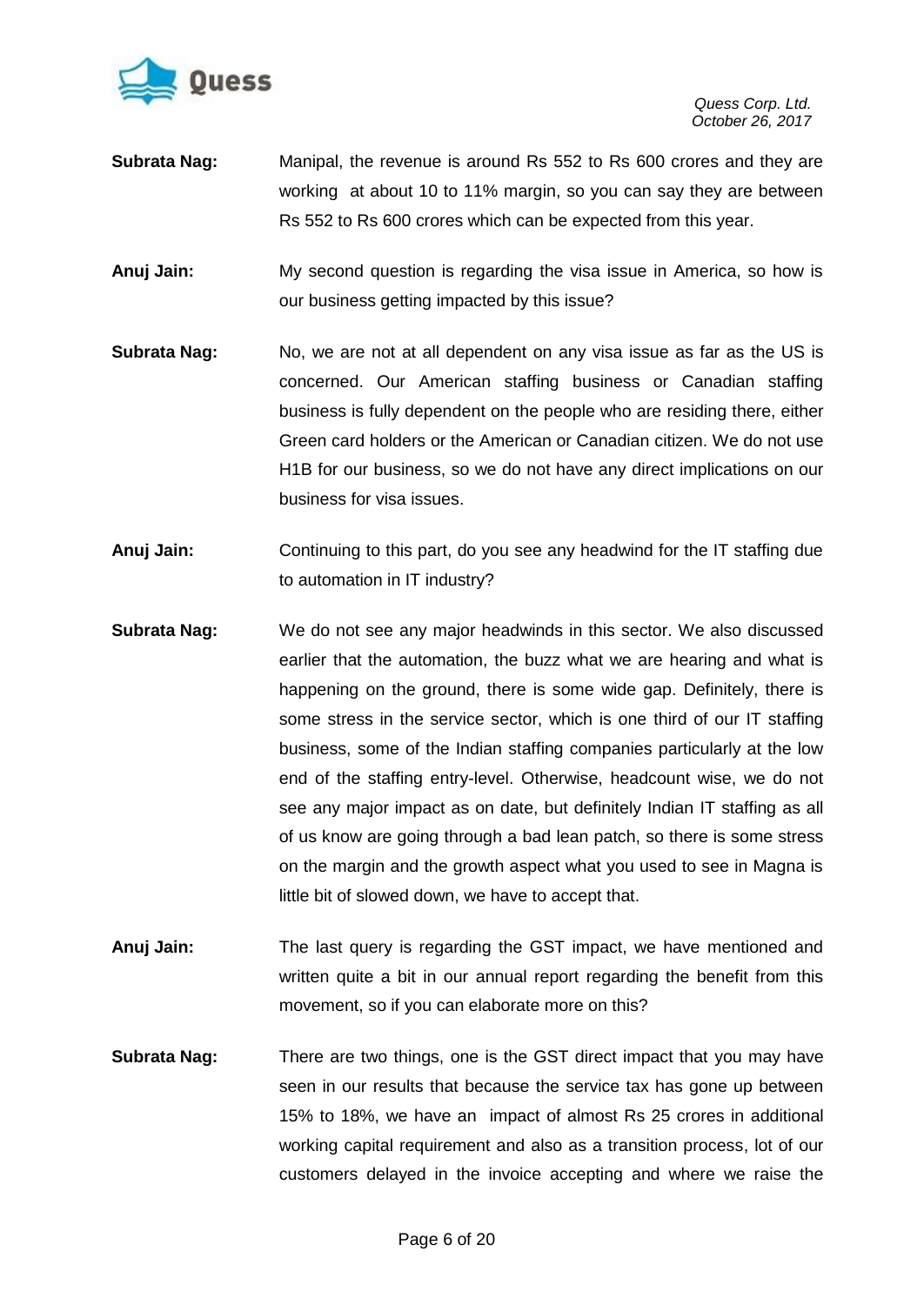

- **Subrata Nag:** Manipal, the revenue is around Rs 552 to Rs 600 crores and they are working at about 10 to 11% margin, so you can say they are between Rs 552 to Rs 600 crores which can be expected from this year.
- **Anuj Jain:** My second question is regarding the visa issue in America, so how is our business getting impacted by this issue?
- **Subrata Nag:** No, we are not at all dependent on any visa issue as far as the US is concerned. Our American staffing business or Canadian staffing business is fully dependent on the people who are residing there, either Green card holders or the American or Canadian citizen. We do not use H1B for our business, so we do not have any direct implications on our business for visa issues.
- **Anuj Jain:** Continuing to this part, do you see any headwind for the IT staffing due to automation in IT industry?
- **Subrata Nag:** We do not see any major headwinds in this sector. We also discussed earlier that the automation, the buzz what we are hearing and what is happening on the ground, there is some wide gap. Definitely, there is some stress in the service sector, which is one third of our IT staffing business, some of the Indian staffing companies particularly at the low end of the staffing entry-level. Otherwise, headcount wise, we do not see any major impact as on date, but definitely Indian IT staffing as all of us know are going through a bad lean patch, so there is some stress on the margin and the growth aspect what you used to see in Magna is little bit of slowed down, we have to accept that.
- **Anuj Jain:** The last query is regarding the GST impact, we have mentioned and written quite a bit in our annual report regarding the benefit from this movement, so if you can elaborate more on this?
- **Subrata Nag:** There are two things, one is the GST direct impact that you may have seen in our results that because the service tax has gone up between 15% to 18%, we have an impact of almost Rs 25 crores in additional working capital requirement and also as a transition process, lot of our customers delayed in the invoice accepting and where we raise the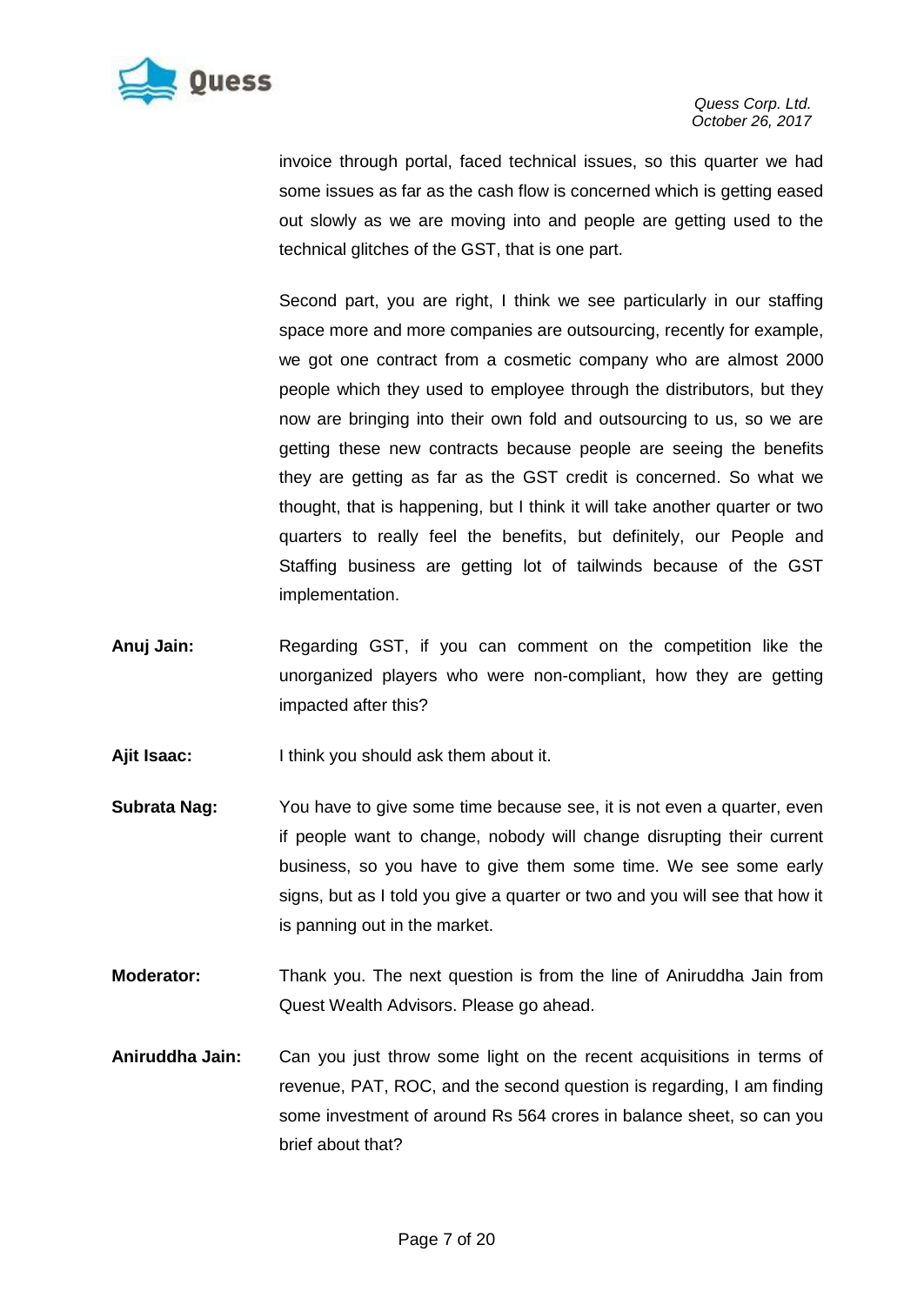

invoice through portal, faced technical issues, so this quarter we had some issues as far as the cash flow is concerned which is getting eased out slowly as we are moving into and people are getting used to the technical glitches of the GST, that is one part.

Second part, you are right, I think we see particularly in our staffing space more and more companies are outsourcing, recently for example, we got one contract from a cosmetic company who are almost 2000 people which they used to employee through the distributors, but they now are bringing into their own fold and outsourcing to us, so we are getting these new contracts because people are seeing the benefits they are getting as far as the GST credit is concerned. So what we thought, that is happening, but I think it will take another quarter or two quarters to really feel the benefits, but definitely, our People and Staffing business are getting lot of tailwinds because of the GST implementation.

- **Anuj Jain:** Regarding GST, if you can comment on the competition like the unorganized players who were non-compliant, how they are getting impacted after this?
- **Ajit Isaac:** I think you should ask them about it.
- **Subrata Nag:** You have to give some time because see, it is not even a quarter, even if people want to change, nobody will change disrupting their current business, so you have to give them some time. We see some early signs, but as I told you give a quarter or two and you will see that how it is panning out in the market.
- **Moderator:** Thank you. The next question is from the line of Aniruddha Jain from Quest Wealth Advisors. Please go ahead.
- **Aniruddha Jain:** Can you just throw some light on the recent acquisitions in terms of revenue, PAT, ROC, and the second question is regarding, I am finding some investment of around Rs 564 crores in balance sheet, so can you brief about that?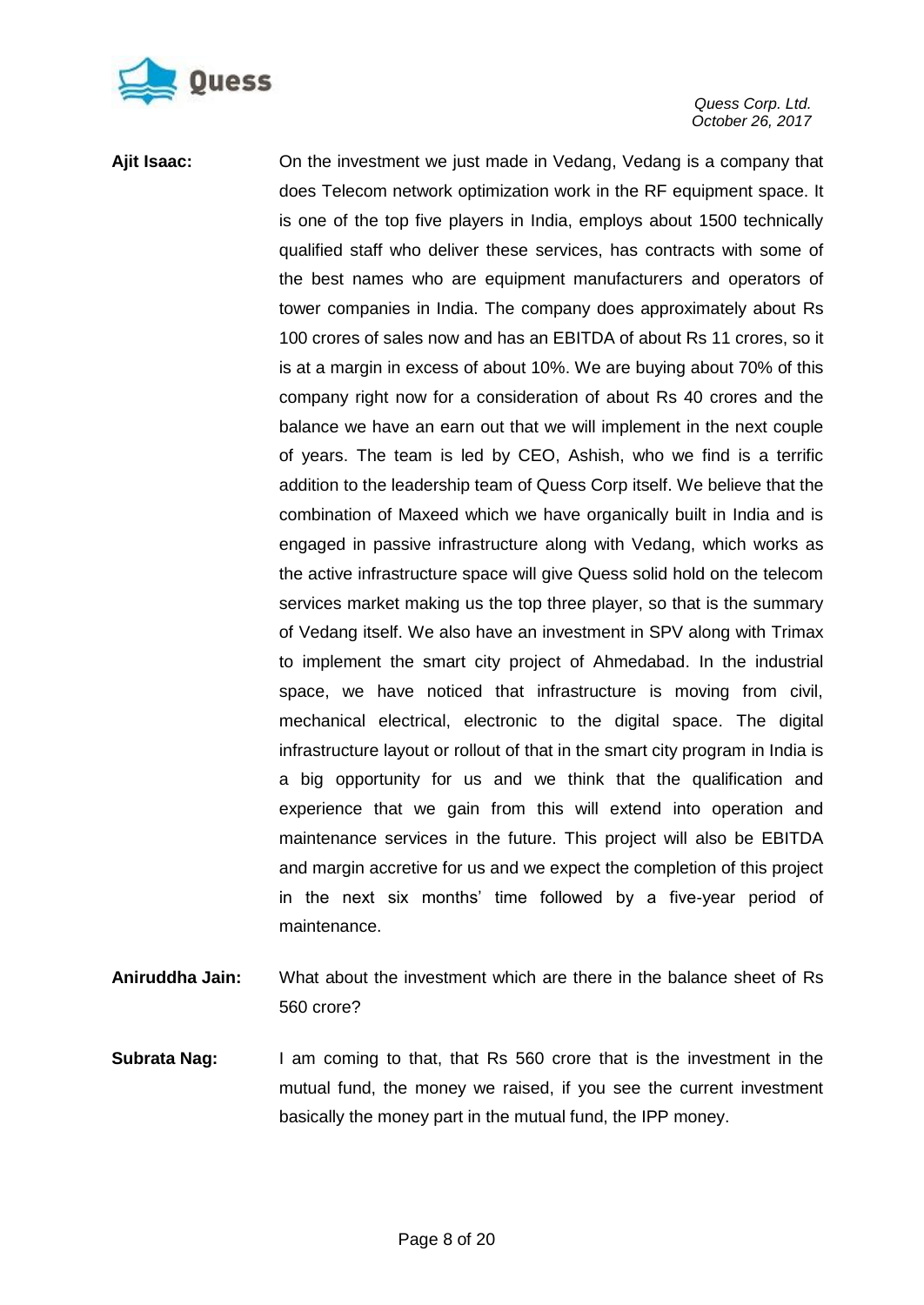

**Ajit Isaac:** On the investment we just made in Vedang, Vedang is a company that does Telecom network optimization work in the RF equipment space. It is one of the top five players in India, employs about 1500 technically qualified staff who deliver these services, has contracts with some of the best names who are equipment manufacturers and operators of tower companies in India. The company does approximately about Rs 100 crores of sales now and has an EBITDA of about Rs 11 crores, so it is at a margin in excess of about 10%. We are buying about 70% of this company right now for a consideration of about Rs 40 crores and the balance we have an earn out that we will implement in the next couple of years. The team is led by CEO, Ashish, who we find is a terrific addition to the leadership team of Quess Corp itself. We believe that the combination of Maxeed which we have organically built in India and is engaged in passive infrastructure along with Vedang, which works as the active infrastructure space will give Quess solid hold on the telecom services market making us the top three player, so that is the summary of Vedang itself. We also have an investment in SPV along with Trimax to implement the smart city project of Ahmedabad. In the industrial space, we have noticed that infrastructure is moving from civil, mechanical electrical, electronic to the digital space. The digital infrastructure layout or rollout of that in the smart city program in India is a big opportunity for us and we think that the qualification and experience that we gain from this will extend into operation and maintenance services in the future. This project will also be EBITDA and margin accretive for us and we expect the completion of this project in the next six months" time followed by a five-year period of maintenance.

- **Aniruddha Jain:** What about the investment which are there in the balance sheet of Rs 560 crore?
- **Subrata Nag:** I am coming to that, that Rs 560 crore that is the investment in the mutual fund, the money we raised, if you see the current investment basically the money part in the mutual fund, the IPP money.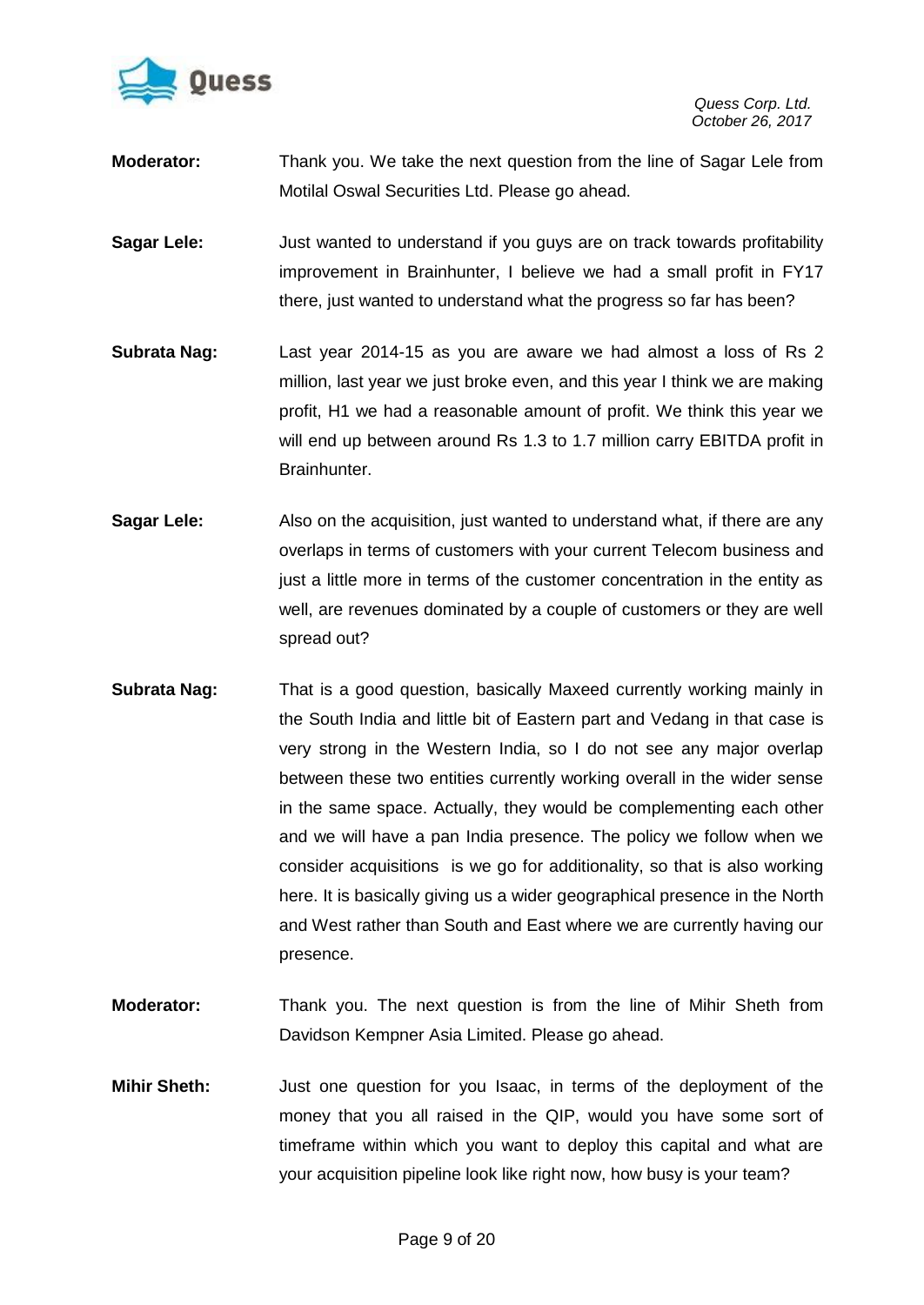

- **Moderator:** Thank you. We take the next question from the line of Sagar Lele from Motilal Oswal Securities Ltd. Please go ahead.
- **Sagar Lele:** Just wanted to understand if you guys are on track towards profitability improvement in Brainhunter, I believe we had a small profit in FY17 there, just wanted to understand what the progress so far has been?
- **Subrata Nag:** Last year 2014-15 as you are aware we had almost a loss of Rs 2 million, last year we just broke even, and this year I think we are making profit, H1 we had a reasonable amount of profit. We think this year we will end up between around Rs 1.3 to 1.7 million carry EBITDA profit in Brainhunter.
- **Sagar Lele:** Also on the acquisition, just wanted to understand what, if there are any overlaps in terms of customers with your current Telecom business and just a little more in terms of the customer concentration in the entity as well, are revenues dominated by a couple of customers or they are well spread out?
- **Subrata Nag:** That is a good question, basically Maxeed currently working mainly in the South India and little bit of Eastern part and Vedang in that case is very strong in the Western India, so I do not see any major overlap between these two entities currently working overall in the wider sense in the same space. Actually, they would be complementing each other and we will have a pan India presence. The policy we follow when we consider acquisitions is we go for additionality, so that is also working here. It is basically giving us a wider geographical presence in the North and West rather than South and East where we are currently having our presence.
- **Moderator:** Thank you. The next question is from the line of Mihir Sheth from Davidson Kempner Asia Limited. Please go ahead.
- **Mihir Sheth:** Just one question for you Isaac, in terms of the deployment of the money that you all raised in the QIP, would you have some sort of timeframe within which you want to deploy this capital and what are your acquisition pipeline look like right now, how busy is your team?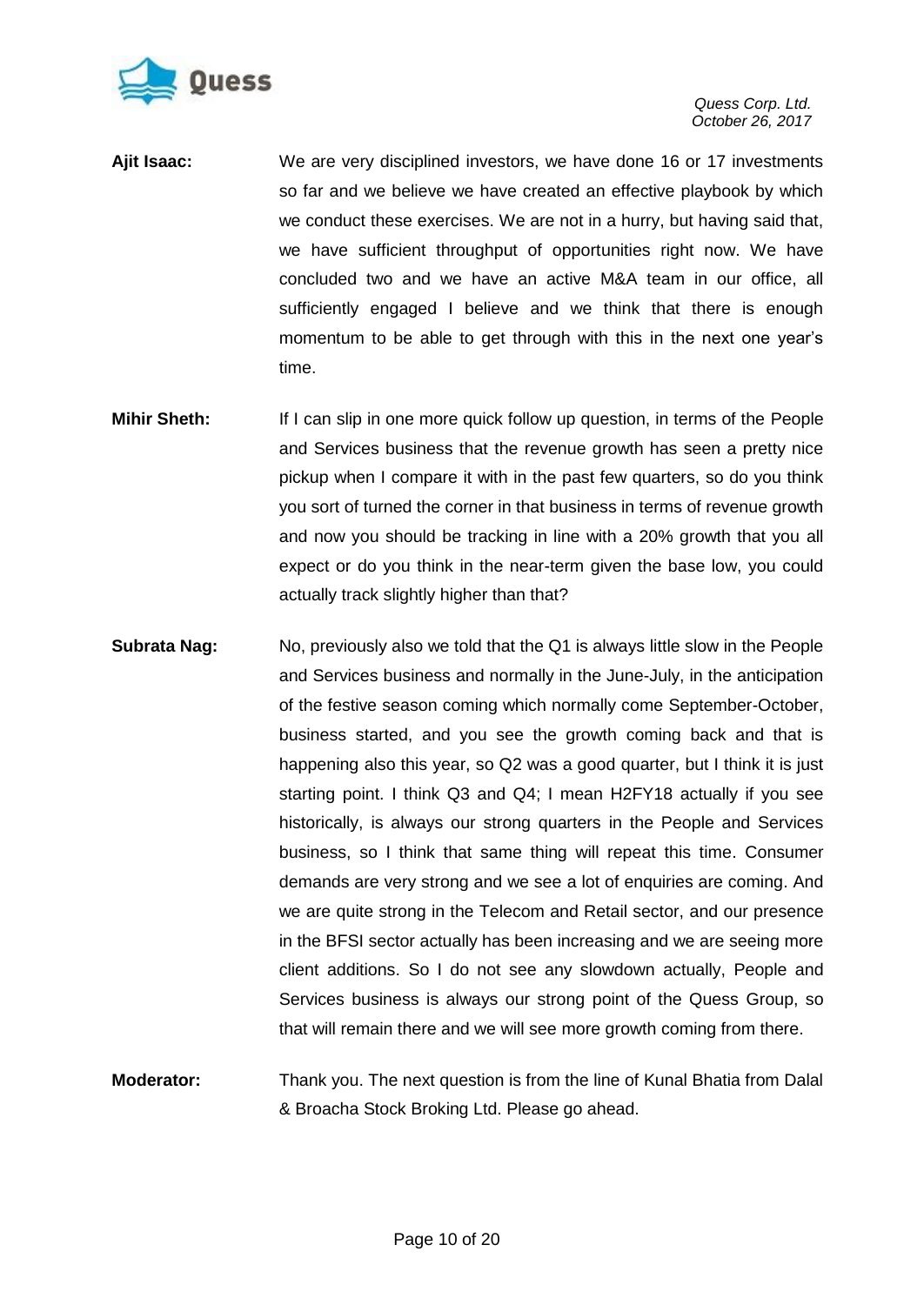

- **Ajit Isaac:** We are very disciplined investors, we have done 16 or 17 investments so far and we believe we have created an effective playbook by which we conduct these exercises. We are not in a hurry, but having said that, we have sufficient throughput of opportunities right now. We have concluded two and we have an active M&A team in our office, all sufficiently engaged I believe and we think that there is enough momentum to be able to get through with this in the next one year"s time.
- **Mihir Sheth:** If I can slip in one more quick follow up question, in terms of the People and Services business that the revenue growth has seen a pretty nice pickup when I compare it with in the past few quarters, so do you think you sort of turned the corner in that business in terms of revenue growth and now you should be tracking in line with a 20% growth that you all expect or do you think in the near-term given the base low, you could actually track slightly higher than that?
- **Subrata Nag:** No, previously also we told that the Q1 is always little slow in the People and Services business and normally in the June-July, in the anticipation of the festive season coming which normally come September-October, business started, and you see the growth coming back and that is happening also this year, so Q2 was a good quarter, but I think it is just starting point. I think Q3 and Q4; I mean H2FY18 actually if you see historically, is always our strong quarters in the People and Services business, so I think that same thing will repeat this time. Consumer demands are very strong and we see a lot of enquiries are coming. And we are quite strong in the Telecom and Retail sector, and our presence in the BFSI sector actually has been increasing and we are seeing more client additions. So I do not see any slowdown actually, People and Services business is always our strong point of the Quess Group, so that will remain there and we will see more growth coming from there.
- **Moderator:** Thank you. The next question is from the line of Kunal Bhatia from Dalal & Broacha Stock Broking Ltd. Please go ahead.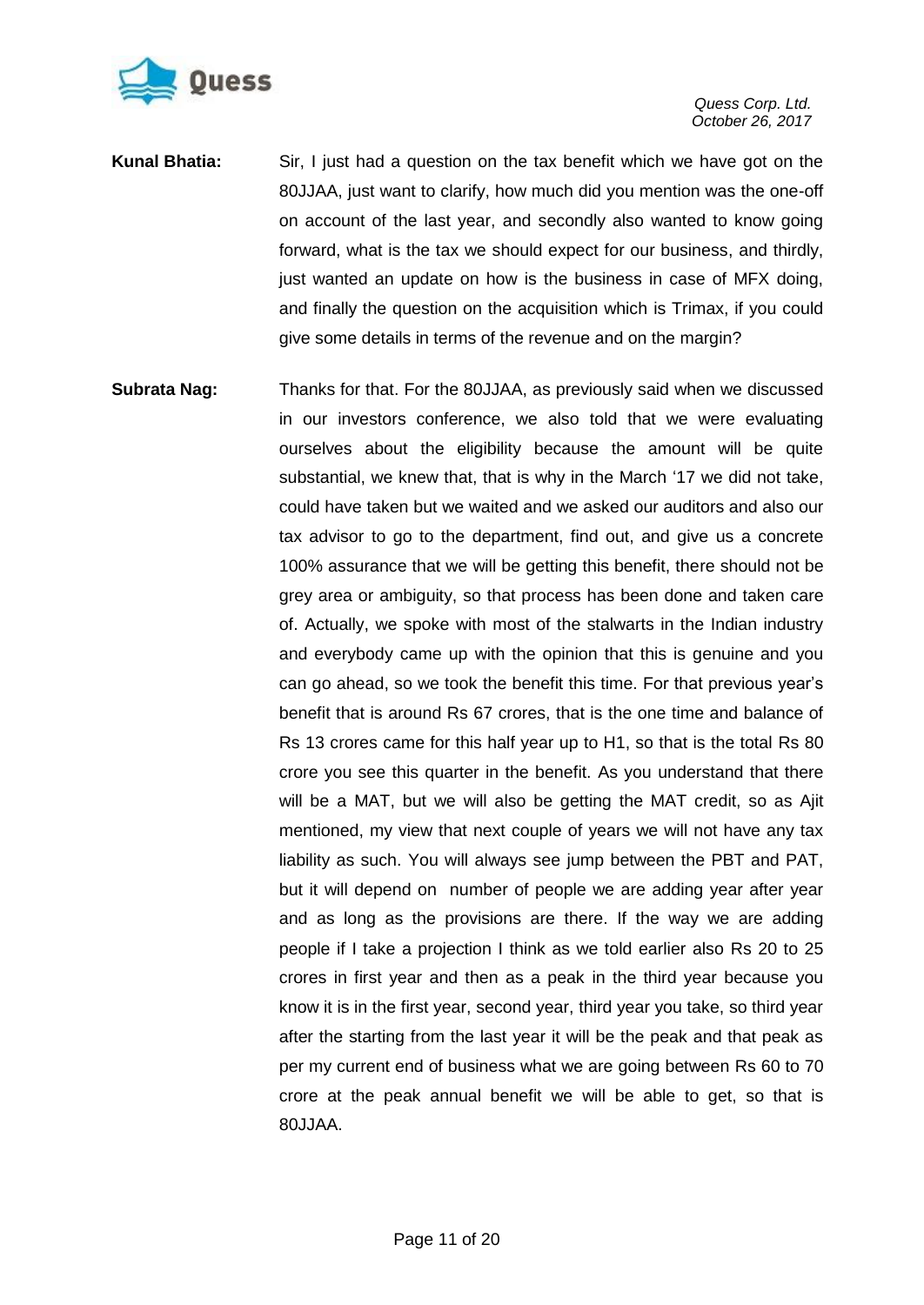

- **Kunal Bhatia:** Sir, I just had a question on the tax benefit which we have got on the 80JJAA, just want to clarify, how much did you mention was the one-off on account of the last year, and secondly also wanted to know going forward, what is the tax we should expect for our business, and thirdly, just wanted an update on how is the business in case of MFX doing, and finally the question on the acquisition which is Trimax, if you could give some details in terms of the revenue and on the margin?
- **Subrata Nag:** Thanks for that. For the 80JJAA, as previously said when we discussed in our investors conference, we also told that we were evaluating ourselves about the eligibility because the amount will be quite substantial, we knew that, that is why in the March "17 we did not take, could have taken but we waited and we asked our auditors and also our tax advisor to go to the department, find out, and give us a concrete 100% assurance that we will be getting this benefit, there should not be grey area or ambiguity, so that process has been done and taken care of. Actually, we spoke with most of the stalwarts in the Indian industry and everybody came up with the opinion that this is genuine and you can go ahead, so we took the benefit this time. For that previous year"s benefit that is around Rs 67 crores, that is the one time and balance of Rs 13 crores came for this half year up to H1, so that is the total Rs 80 crore you see this quarter in the benefit. As you understand that there will be a MAT, but we will also be getting the MAT credit, so as Ajit mentioned, my view that next couple of years we will not have any tax liability as such. You will always see jump between the PBT and PAT, but it will depend on number of people we are adding year after year and as long as the provisions are there. If the way we are adding people if I take a projection I think as we told earlier also Rs 20 to 25 crores in first year and then as a peak in the third year because you know it is in the first year, second year, third year you take, so third year after the starting from the last year it will be the peak and that peak as per my current end of business what we are going between Rs 60 to 70 crore at the peak annual benefit we will be able to get, so that is 80JJAA.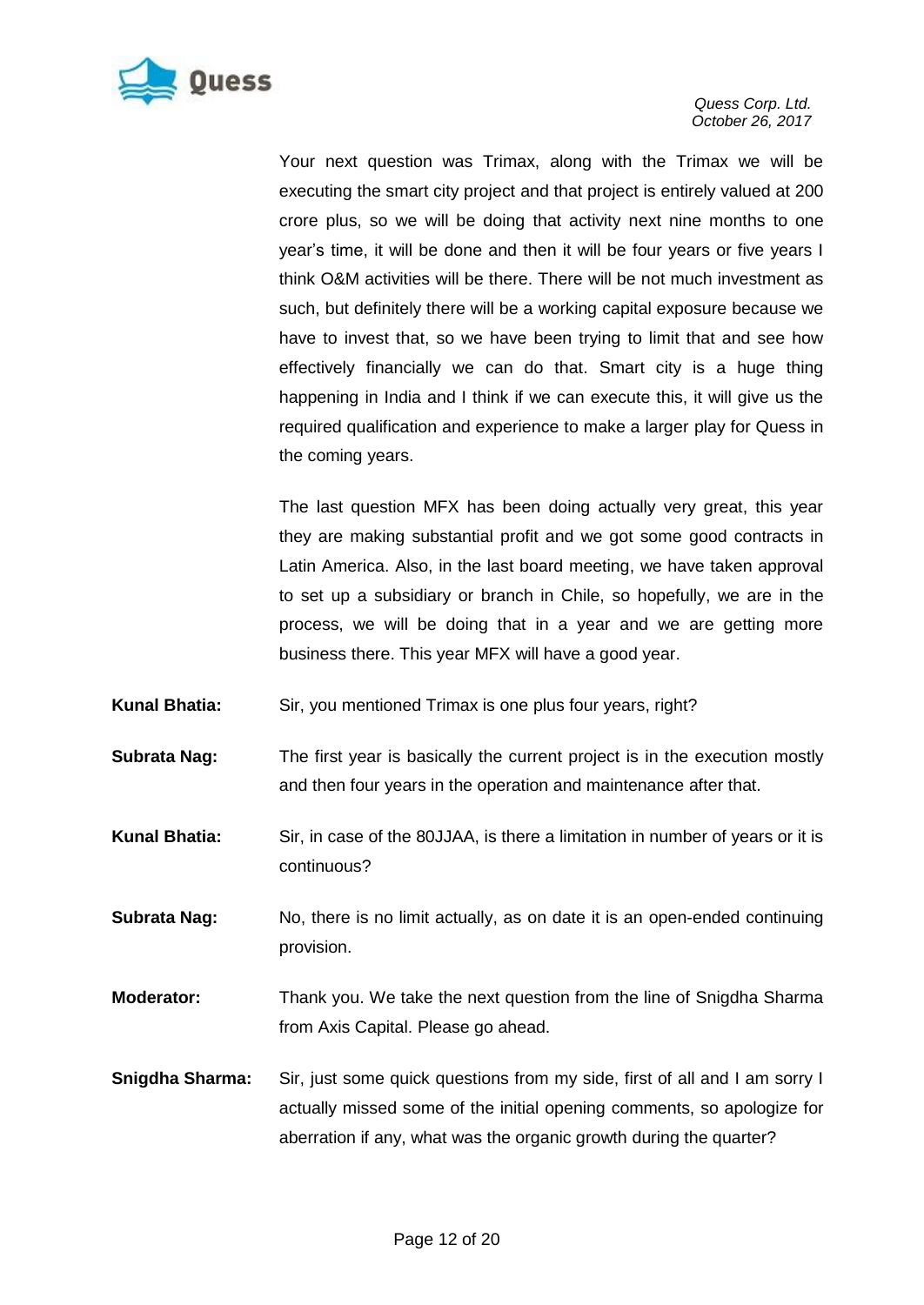

Your next question was Trimax, along with the Trimax we will be executing the smart city project and that project is entirely valued at 200 crore plus, so we will be doing that activity next nine months to one year's time, it will be done and then it will be four years or five years I think O&M activities will be there. There will be not much investment as such, but definitely there will be a working capital exposure because we have to invest that, so we have been trying to limit that and see how effectively financially we can do that. Smart city is a huge thing happening in India and I think if we can execute this, it will give us the required qualification and experience to make a larger play for Quess in the coming years.

The last question MFX has been doing actually very great, this year they are making substantial profit and we got some good contracts in Latin America. Also, in the last board meeting, we have taken approval to set up a subsidiary or branch in Chile, so hopefully, we are in the process, we will be doing that in a year and we are getting more business there. This year MFX will have a good year.

- Kunal Bhatia: Sir, you mentioned Trimax is one plus four years, right?
- **Subrata Nag:** The first year is basically the current project is in the execution mostly and then four years in the operation and maintenance after that.
- **Kunal Bhatia:** Sir, in case of the 80JJAA, is there a limitation in number of years or it is continuous?
- **Subrata Nag:** No, there is no limit actually, as on date it is an open-ended continuing provision.
- **Moderator:** Thank you. We take the next question from the line of Snigdha Sharma from Axis Capital. Please go ahead.
- **Snigdha Sharma:** Sir, just some quick questions from my side, first of all and I am sorry I actually missed some of the initial opening comments, so apologize for aberration if any, what was the organic growth during the quarter?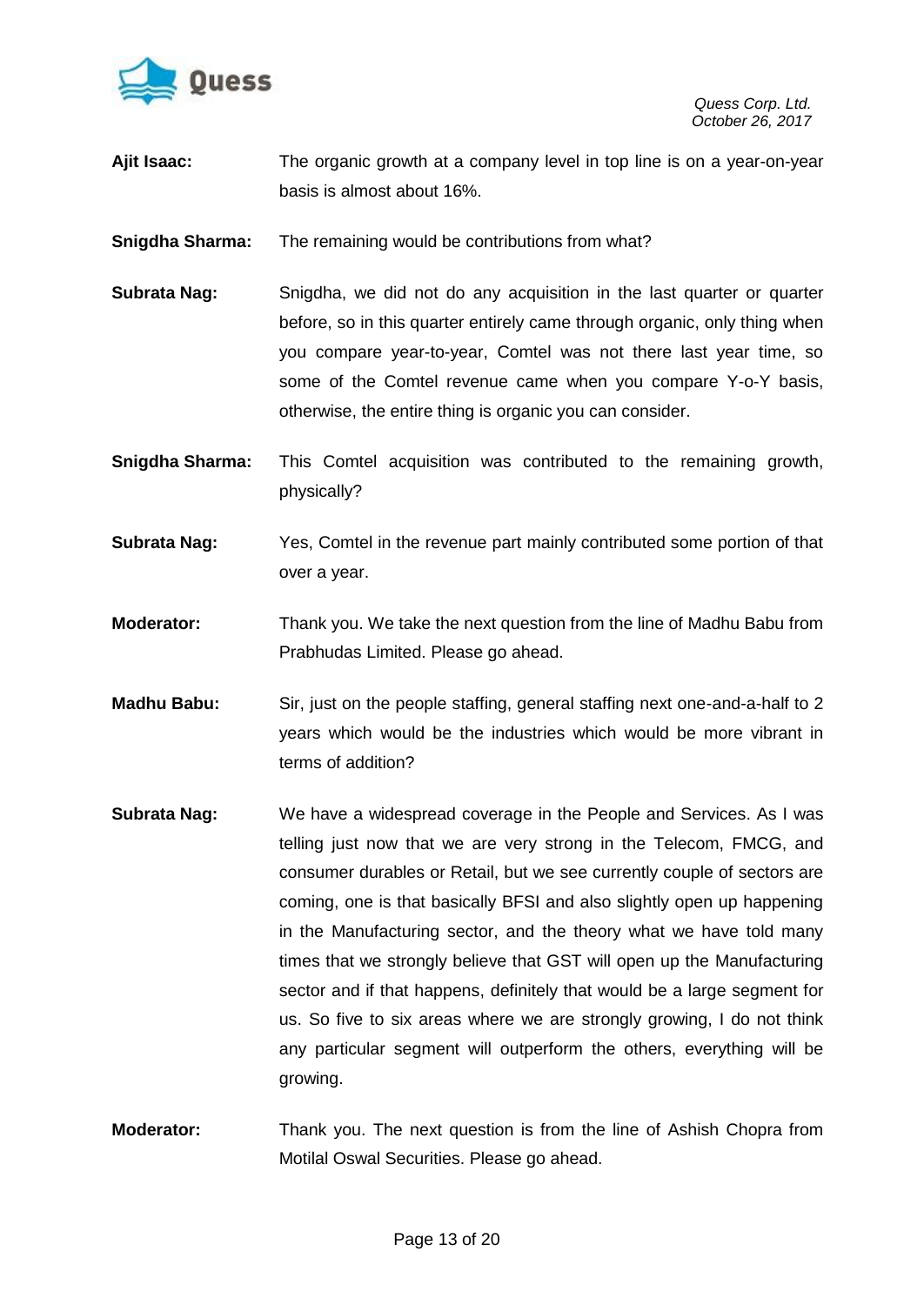

- **Ajit Isaac:** The organic growth at a company level in top line is on a year-on-year basis is almost about 16%.
- **Snigdha Sharma:** The remaining would be contributions from what?
- **Subrata Nag:** Snigdha, we did not do any acquisition in the last quarter or quarter before, so in this quarter entirely came through organic, only thing when you compare year-to-year, Comtel was not there last year time, so some of the Comtel revenue came when you compare Y-o-Y basis, otherwise, the entire thing is organic you can consider.
- **Snigdha Sharma:** This Comtel acquisition was contributed to the remaining growth, physically?
- **Subrata Nag:** Yes, Comtel in the revenue part mainly contributed some portion of that over a year.
- **Moderator:** Thank you. We take the next question from the line of Madhu Babu from Prabhudas Limited. Please go ahead.
- **Madhu Babu:** Sir, just on the people staffing, general staffing next one-and-a-half to 2 years which would be the industries which would be more vibrant in terms of addition?
- **Subrata Nag:** We have a widespread coverage in the People and Services. As I was telling just now that we are very strong in the Telecom, FMCG, and consumer durables or Retail, but we see currently couple of sectors are coming, one is that basically BFSI and also slightly open up happening in the Manufacturing sector, and the theory what we have told many times that we strongly believe that GST will open up the Manufacturing sector and if that happens, definitely that would be a large segment for us. So five to six areas where we are strongly growing, I do not think any particular segment will outperform the others, everything will be growing.
- **Moderator:** Thank you. The next question is from the line of Ashish Chopra from Motilal Oswal Securities. Please go ahead.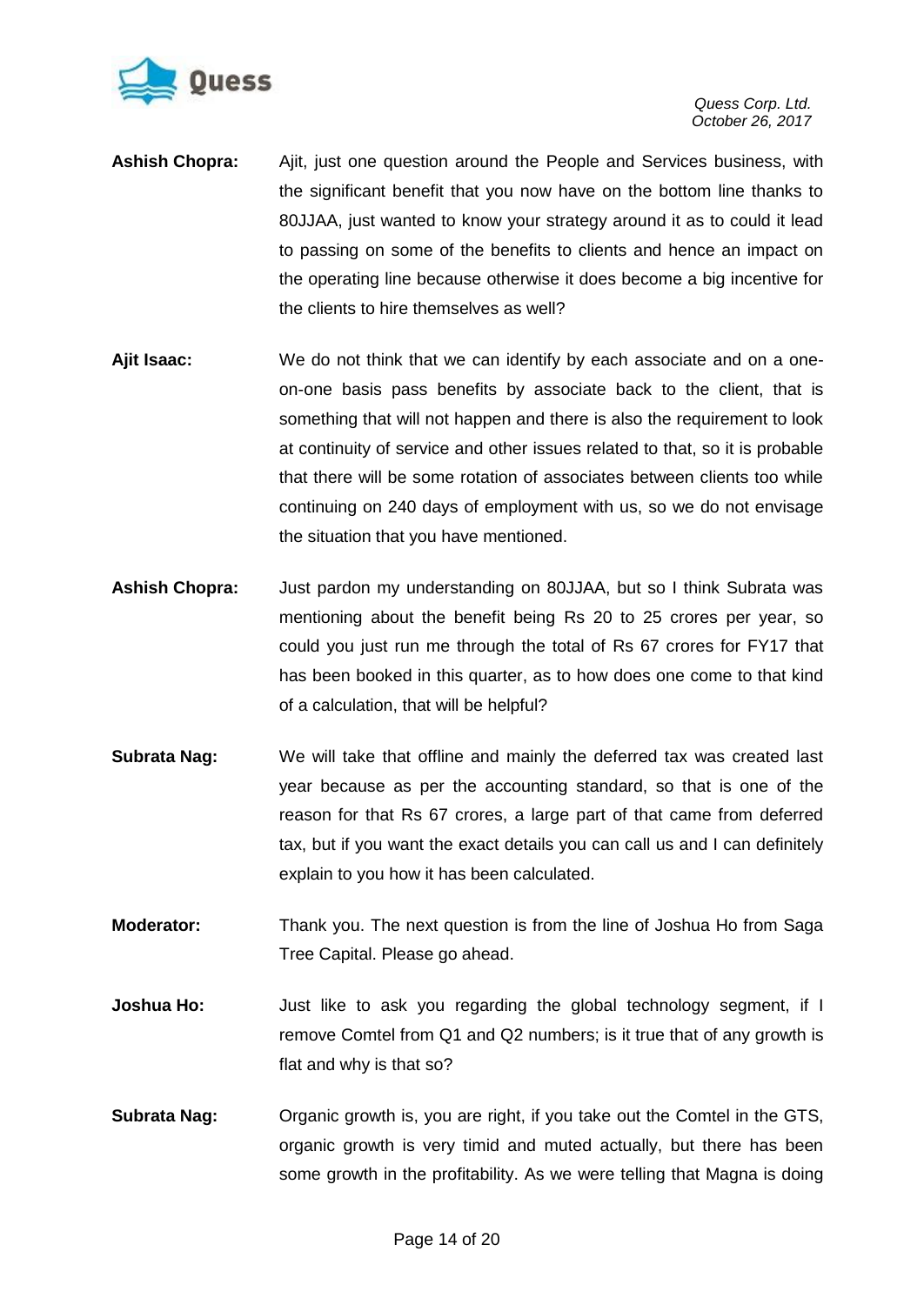

- **Ashish Chopra:** Ajit, just one question around the People and Services business, with the significant benefit that you now have on the bottom line thanks to 80JJAA, just wanted to know your strategy around it as to could it lead to passing on some of the benefits to clients and hence an impact on the operating line because otherwise it does become a big incentive for the clients to hire themselves as well?
- **Ajit Isaac:** We do not think that we can identify by each associate and on a oneon-one basis pass benefits by associate back to the client, that is something that will not happen and there is also the requirement to look at continuity of service and other issues related to that, so it is probable that there will be some rotation of associates between clients too while continuing on 240 days of employment with us, so we do not envisage the situation that you have mentioned.
- **Ashish Chopra:** Just pardon my understanding on 80JJAA, but so I think Subrata was mentioning about the benefit being Rs 20 to 25 crores per year, so could you just run me through the total of Rs 67 crores for FY17 that has been booked in this quarter, as to how does one come to that kind of a calculation, that will be helpful?
- **Subrata Nag:** We will take that offline and mainly the deferred tax was created last year because as per the accounting standard, so that is one of the reason for that Rs 67 crores, a large part of that came from deferred tax, but if you want the exact details you can call us and I can definitely explain to you how it has been calculated.
- **Moderator:** Thank you. The next question is from the line of Joshua Ho from Saga Tree Capital. Please go ahead.
- **Joshua Ho:** Just like to ask you regarding the global technology segment, if I remove Comtel from Q1 and Q2 numbers; is it true that of any growth is flat and why is that so?
- **Subrata Nag:** Organic growth is, you are right, if you take out the Comtel in the GTS, organic growth is very timid and muted actually, but there has been some growth in the profitability. As we were telling that Magna is doing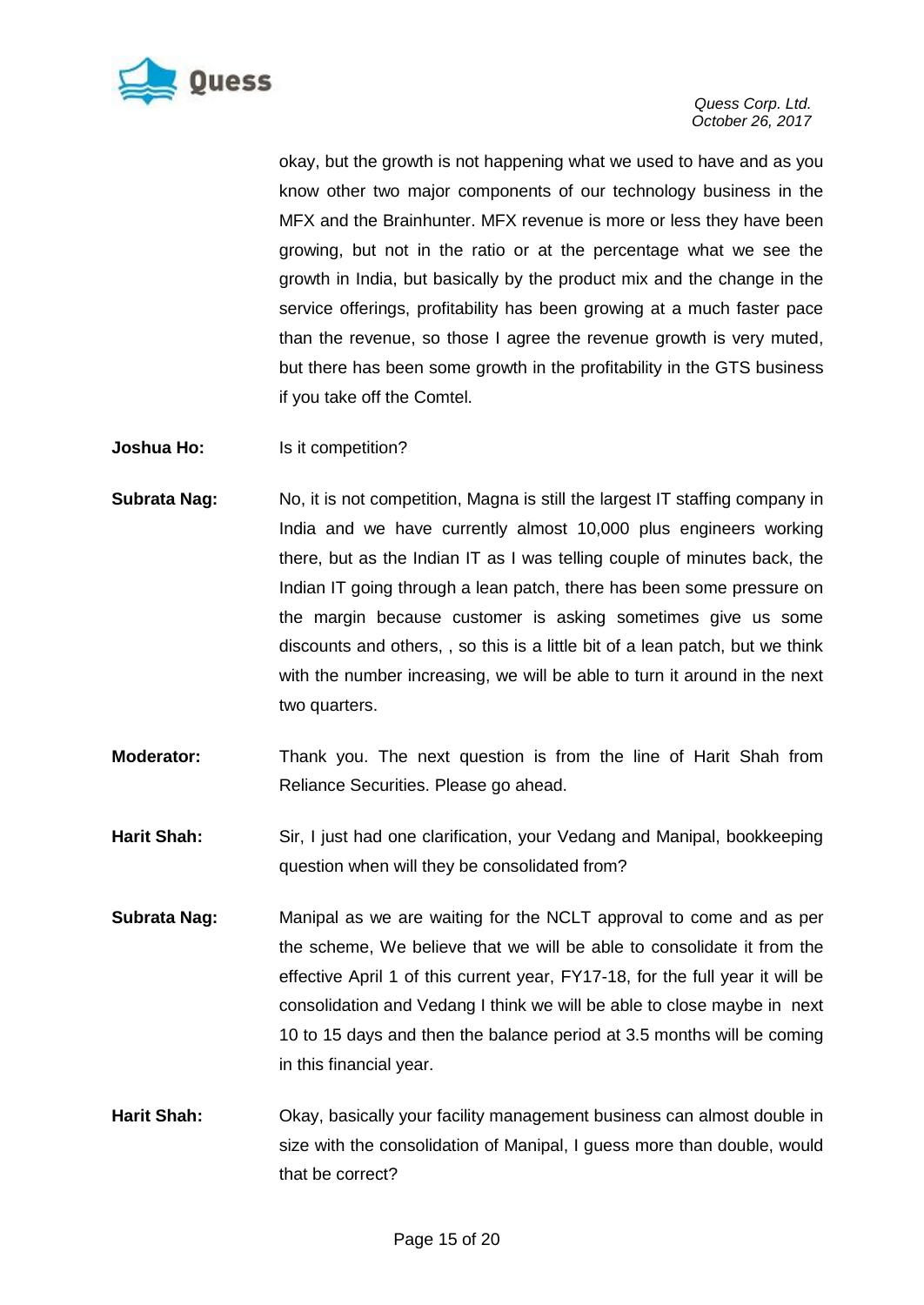

okay, but the growth is not happening what we used to have and as you know other two major components of our technology business in the MFX and the Brainhunter. MFX revenue is more or less they have been growing, but not in the ratio or at the percentage what we see the growth in India, but basically by the product mix and the change in the service offerings, profitability has been growing at a much faster pace than the revenue, so those I agree the revenue growth is very muted, but there has been some growth in the profitability in the GTS business if you take off the Comtel.

**Joshua Ho:** Is it competition?

- **Subrata Nag:** No, it is not competition, Magna is still the largest IT staffing company in India and we have currently almost 10,000 plus engineers working there, but as the Indian IT as I was telling couple of minutes back, the Indian IT going through a lean patch, there has been some pressure on the margin because customer is asking sometimes give us some discounts and others, , so this is a little bit of a lean patch, but we think with the number increasing, we will be able to turn it around in the next two quarters.
- **Moderator:** Thank you. The next question is from the line of Harit Shah from Reliance Securities. Please go ahead.
- Harit Shah: Sir, I just had one clarification, your Vedang and Manipal, bookkeeping question when will they be consolidated from?
- **Subrata Nag:** Manipal as we are waiting for the NCLT approval to come and as per the scheme, We believe that we will be able to consolidate it from the effective April 1 of this current year, FY17-18, for the full year it will be consolidation and Vedang I think we will be able to close maybe in next 10 to 15 days and then the balance period at 3.5 months will be coming in this financial year.
- **Harit Shah:** Okay, basically your facility management business can almost double in size with the consolidation of Manipal, I guess more than double, would that be correct?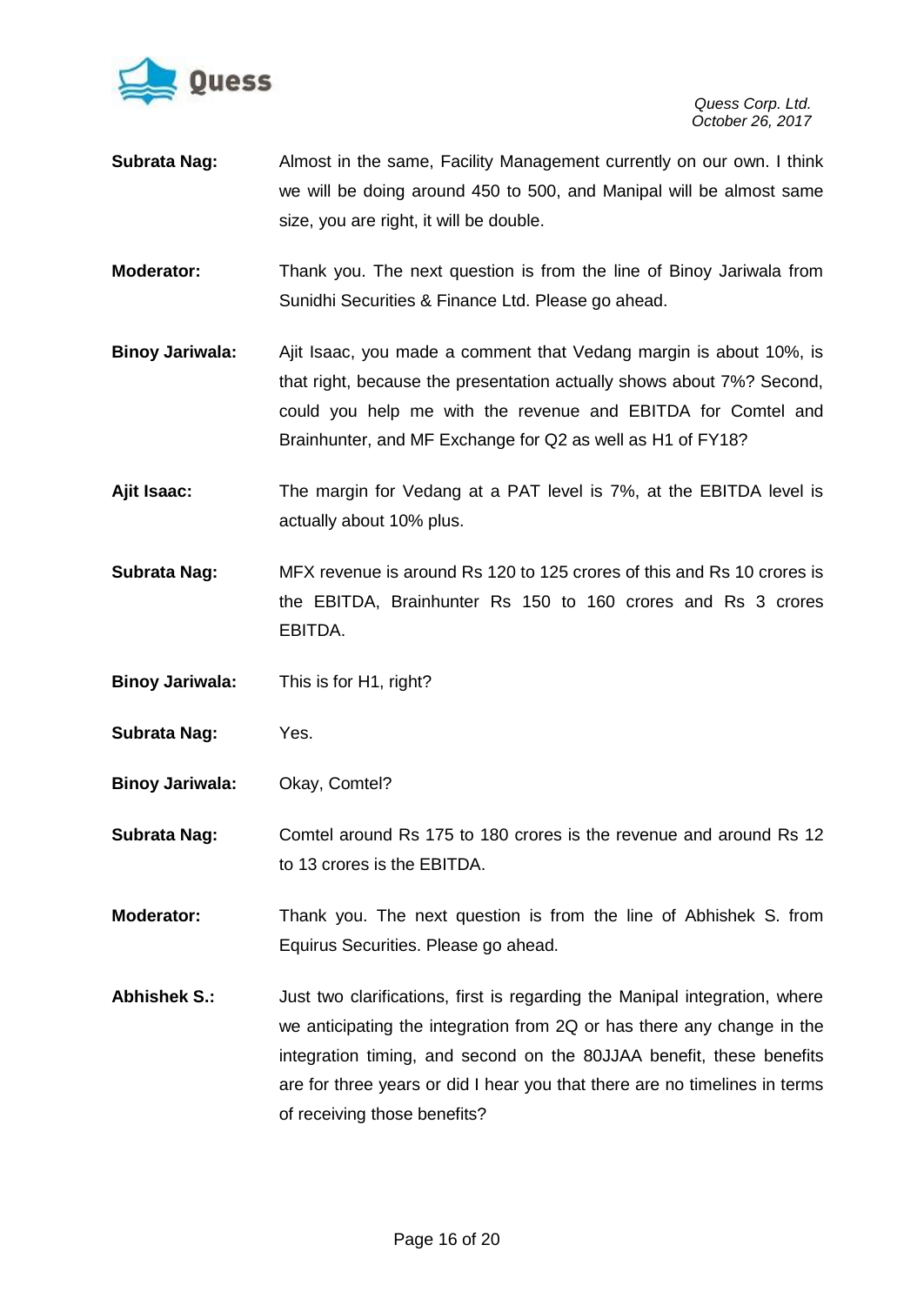

- **Subrata Nag:** Almost in the same, Facility Management currently on our own. I think we will be doing around 450 to 500, and Manipal will be almost same size, you are right, it will be double.
- **Moderator:** Thank you. The next question is from the line of Binoy Jariwala from Sunidhi Securities & Finance Ltd. Please go ahead.
- **Binoy Jariwala:** Ajit Isaac, you made a comment that Vedang margin is about 10%, is that right, because the presentation actually shows about 7%? Second, could you help me with the revenue and EBITDA for Comtel and Brainhunter, and MF Exchange for Q2 as well as H1 of FY18?
- **Ajit Isaac:** The margin for Vedang at a PAT level is 7%, at the EBITDA level is actually about 10% plus.
- **Subrata Nag:** MFX revenue is around Rs 120 to 125 crores of this and Rs 10 crores is the EBITDA, Brainhunter Rs 150 to 160 crores and Rs 3 crores EBITDA.
- **Binoy Jariwala:** This is for H1, right?
- **Subrata Nag:** Yes.
- **Binoy Jariwala:** Okay, Comtel?
- **Subrata Nag:** Comtel around Rs 175 to 180 crores is the revenue and around Rs 12 to 13 crores is the EBITDA.
- **Moderator:** Thank you. The next question is from the line of Abhishek S. from Equirus Securities. Please go ahead.
- **Abhishek S.:** Just two clarifications, first is regarding the Manipal integration, where we anticipating the integration from 2Q or has there any change in the integration timing, and second on the 80JJAA benefit, these benefits are for three years or did I hear you that there are no timelines in terms of receiving those benefits?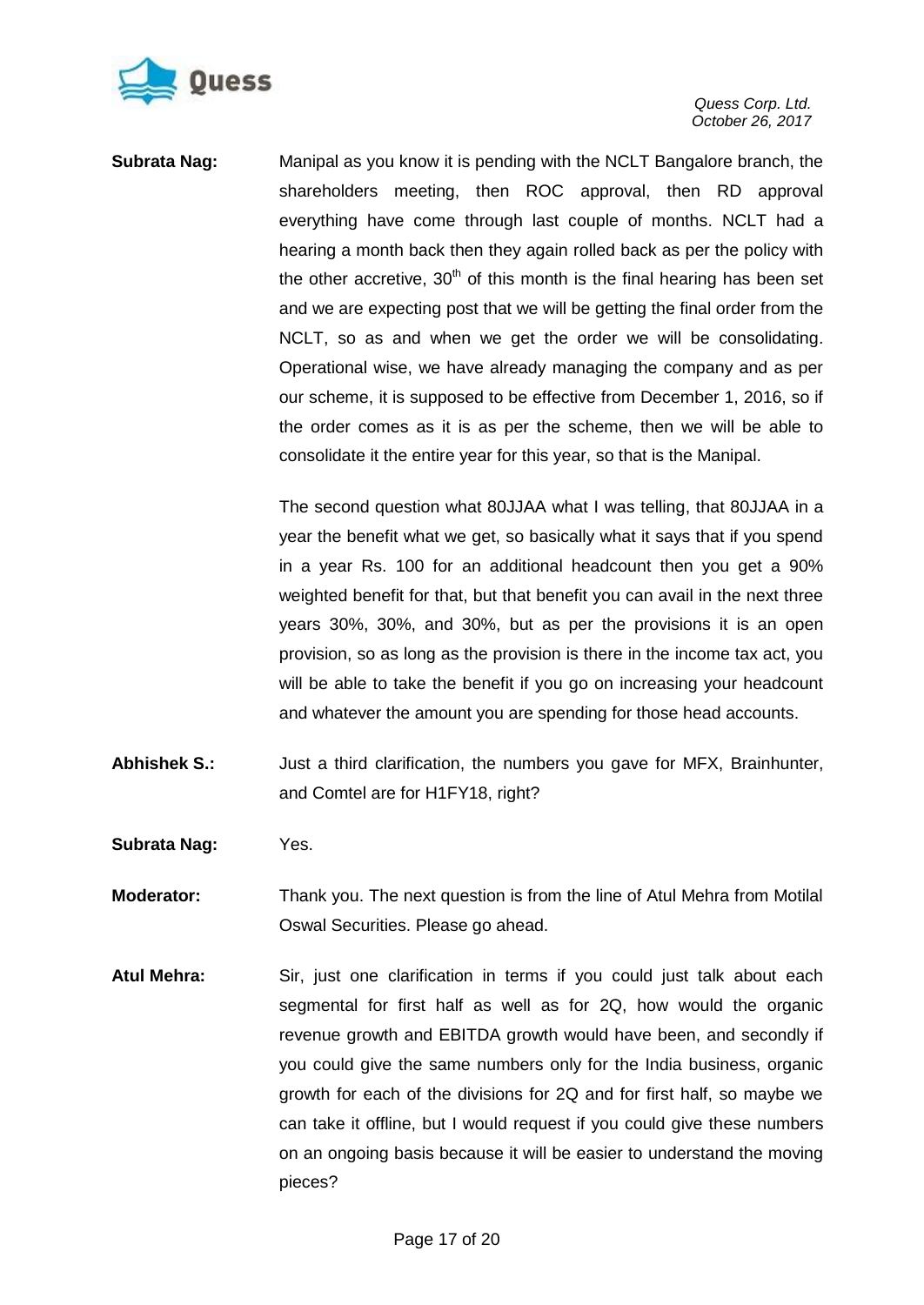

**Subrata Nag:** Manipal as you know it is pending with the NCLT Bangalore branch, the shareholders meeting, then ROC approval, then RD approval everything have come through last couple of months. NCLT had a hearing a month back then they again rolled back as per the policy with the other accretive,  $30<sup>th</sup>$  of this month is the final hearing has been set and we are expecting post that we will be getting the final order from the NCLT, so as and when we get the order we will be consolidating. Operational wise, we have already managing the company and as per our scheme, it is supposed to be effective from December 1, 2016, so if the order comes as it is as per the scheme, then we will be able to consolidate it the entire year for this year, so that is the Manipal.

> The second question what 80JJAA what I was telling, that 80JJAA in a year the benefit what we get, so basically what it says that if you spend in a year Rs. 100 for an additional headcount then you get a 90% weighted benefit for that, but that benefit you can avail in the next three years 30%, 30%, and 30%, but as per the provisions it is an open provision, so as long as the provision is there in the income tax act, you will be able to take the benefit if you go on increasing your headcount and whatever the amount you are spending for those head accounts.

- Abhishek S.: Just a third clarification, the numbers you gave for MFX, Brainhunter, and Comtel are for H1FY18, right?
- **Subrata Nag:** Yes.
- **Moderator:** Thank you. The next question is from the line of Atul Mehra from Motilal Oswal Securities. Please go ahead.
- **Atul Mehra:** Sir, just one clarification in terms if you could just talk about each segmental for first half as well as for 2Q, how would the organic revenue growth and EBITDA growth would have been, and secondly if you could give the same numbers only for the India business, organic growth for each of the divisions for 2Q and for first half, so maybe we can take it offline, but I would request if you could give these numbers on an ongoing basis because it will be easier to understand the moving pieces?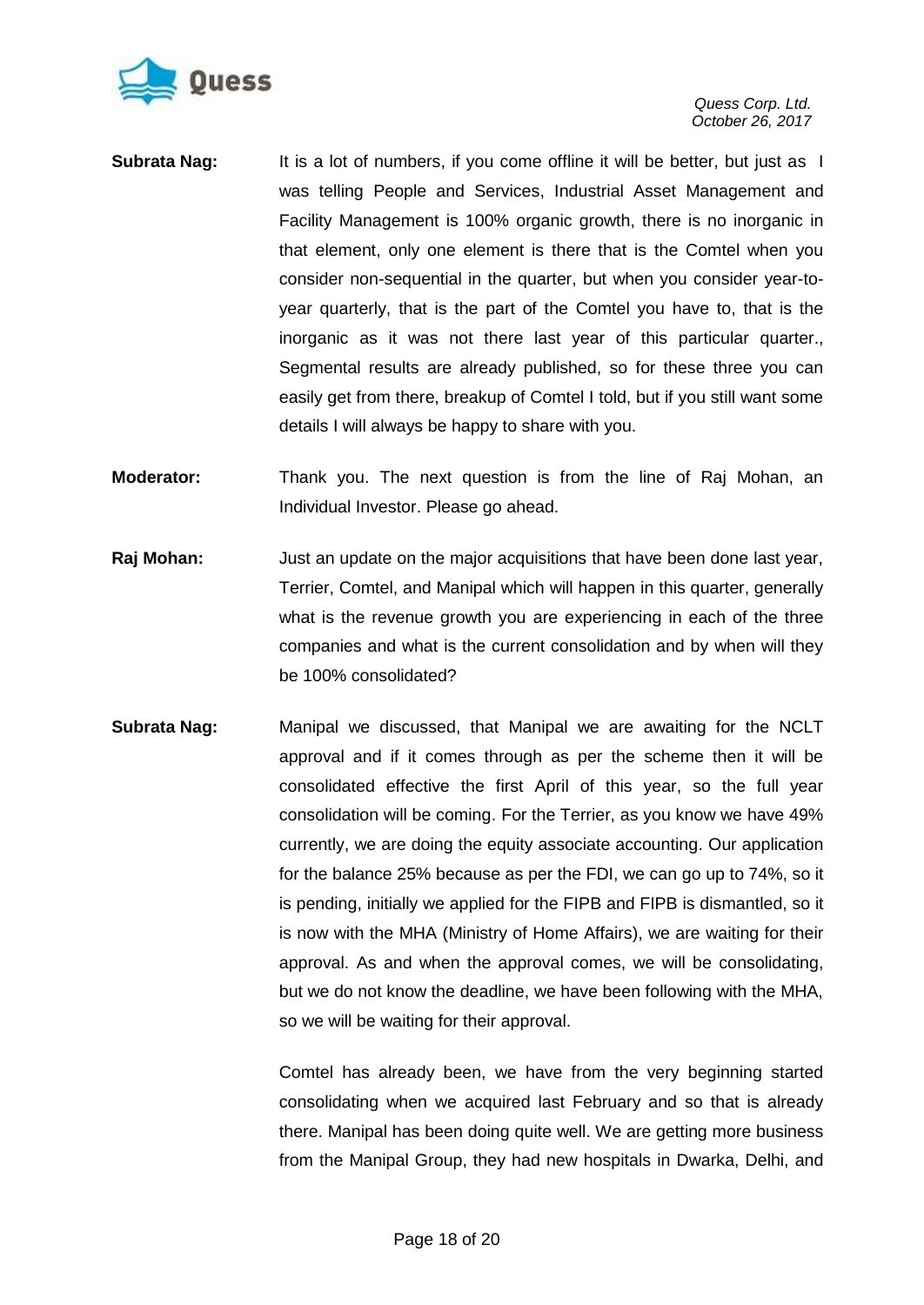

- **Subrata Nag:** It is a lot of numbers, if you come offline it will be better, but just as I was telling People and Services, Industrial Asset Management and Facility Management is 100% organic growth, there is no inorganic in that element, only one element is there that is the Comtel when you consider non-sequential in the quarter, but when you consider year-toyear quarterly, that is the part of the Comtel you have to, that is the inorganic as it was not there last year of this particular quarter., Segmental results are already published, so for these three you can easily get from there, breakup of Comtel I told, but if you still want some details I will always be happy to share with you.
- **Moderator:** Thank you. The next question is from the line of Raj Mohan, an Individual Investor. Please go ahead.
- **Raj Mohan:** Just an update on the major acquisitions that have been done last year, Terrier, Comtel, and Manipal which will happen in this quarter, generally what is the revenue growth you are experiencing in each of the three companies and what is the current consolidation and by when will they be 100% consolidated?
- **Subrata Nag:** Manipal we discussed, that Manipal we are awaiting for the NCLT approval and if it comes through as per the scheme then it will be consolidated effective the first April of this year, so the full year consolidation will be coming. For the Terrier, as you know we have 49% currently, we are doing the equity associate accounting. Our application for the balance 25% because as per the FDI, we can go up to 74%, so it is pending, initially we applied for the FIPB and FIPB is dismantled, so it is now with the MHA (Ministry of Home Affairs), we are waiting for their approval. As and when the approval comes, we will be consolidating, but we do not know the deadline, we have been following with the MHA, so we will be waiting for their approval.

Comtel has already been, we have from the very beginning started consolidating when we acquired last February and so that is already there. Manipal has been doing quite well. We are getting more business from the Manipal Group, they had new hospitals in Dwarka, Delhi, and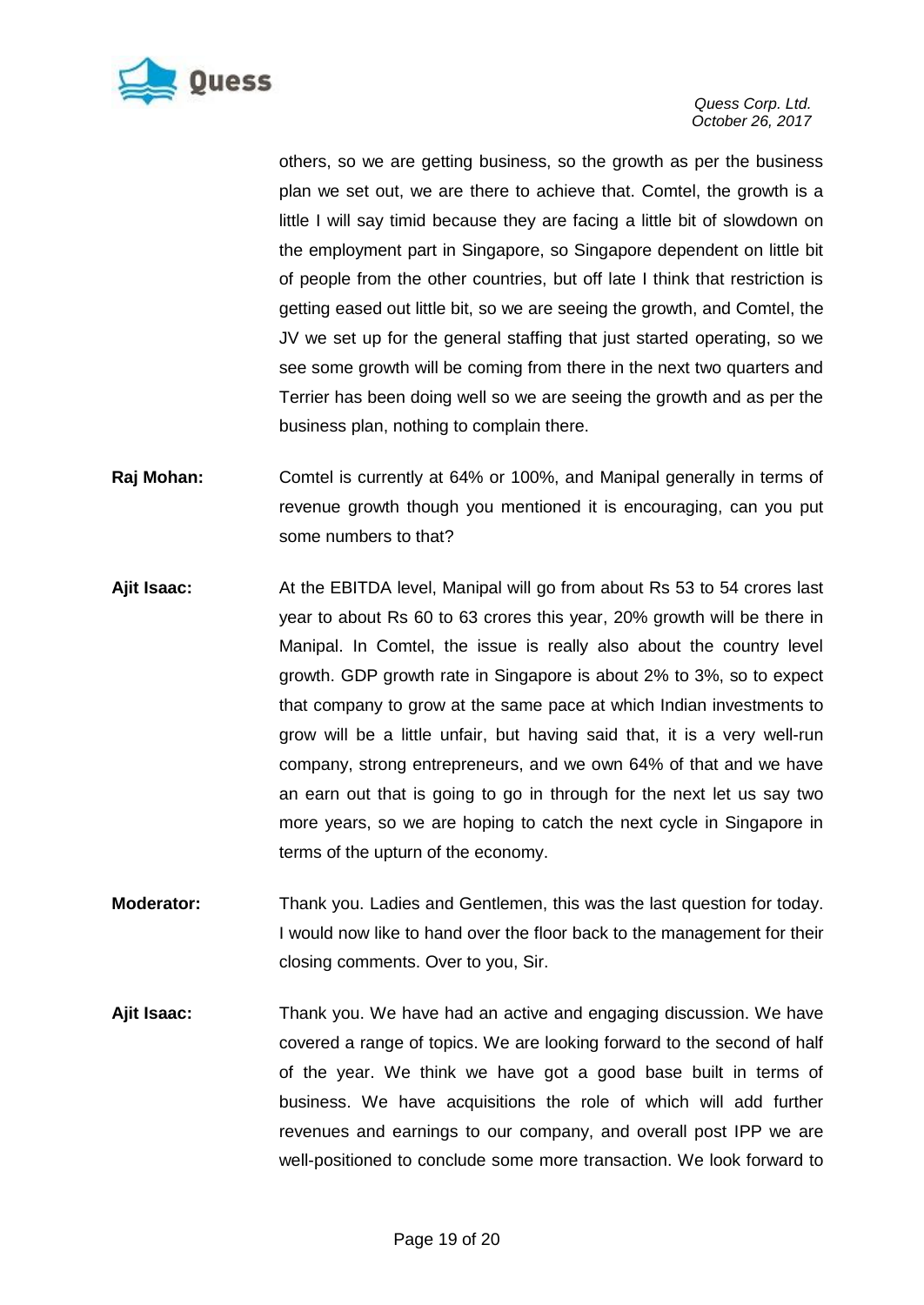

others, so we are getting business, so the growth as per the business plan we set out, we are there to achieve that. Comtel, the growth is a little I will say timid because they are facing a little bit of slowdown on the employment part in Singapore, so Singapore dependent on little bit of people from the other countries, but off late I think that restriction is getting eased out little bit, so we are seeing the growth, and Comtel, the JV we set up for the general staffing that just started operating, so we see some growth will be coming from there in the next two quarters and Terrier has been doing well so we are seeing the growth and as per the business plan, nothing to complain there.

- **Raj Mohan:** Comtel is currently at 64% or 100%, and Manipal generally in terms of revenue growth though you mentioned it is encouraging, can you put some numbers to that?
- **Ajit Isaac:** At the EBITDA level, Manipal will go from about Rs 53 to 54 crores last year to about Rs 60 to 63 crores this year, 20% growth will be there in Manipal. In Comtel, the issue is really also about the country level growth. GDP growth rate in Singapore is about 2% to 3%, so to expect that company to grow at the same pace at which Indian investments to grow will be a little unfair, but having said that, it is a very well-run company, strong entrepreneurs, and we own 64% of that and we have an earn out that is going to go in through for the next let us say two more years, so we are hoping to catch the next cycle in Singapore in terms of the upturn of the economy.
- **Moderator:** Thank you. Ladies and Gentlemen, this was the last question for today. I would now like to hand over the floor back to the management for their closing comments. Over to you, Sir.
- **Ajit Isaac:** Thank you. We have had an active and engaging discussion. We have covered a range of topics. We are looking forward to the second of half of the year. We think we have got a good base built in terms of business. We have acquisitions the role of which will add further revenues and earnings to our company, and overall post IPP we are well-positioned to conclude some more transaction. We look forward to